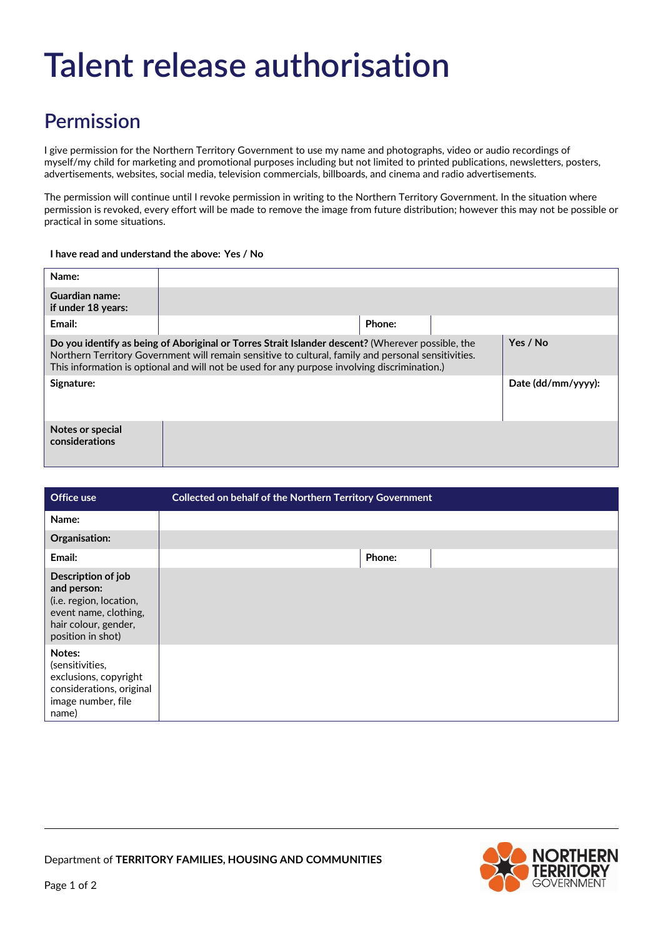# **Talent release authorisation**

## **Permission**

I give permission for the Northern Territory Government to use my name and photographs, video or audio recordings of myself/my child for marketing and promotional purposes including but not limited to printed publications, newsletters, posters, advertisements, websites, social media, television commercials, billboards, and cinema and radio advertisements.

The permission will continue until I revoke permission in writing to the Northern Territory Government. In the situation where permission is revoked, every effort will be made to remove the image from future distribution; however this may not be possible or practical in some situations.

#### **I have read and understand the above: Yes / No**

| Name:                                                                                                                                                                                                                                                                                                    |        |  |                    |
|----------------------------------------------------------------------------------------------------------------------------------------------------------------------------------------------------------------------------------------------------------------------------------------------------------|--------|--|--------------------|
| Guardian name:<br>if under 18 years:                                                                                                                                                                                                                                                                     |        |  |                    |
| Email:                                                                                                                                                                                                                                                                                                   | Phone: |  |                    |
| Do you identify as being of Aboriginal or Torres Strait Islander descent? (Wherever possible, the<br>Northern Territory Government will remain sensitive to cultural, family and personal sensitivities.<br>This information is optional and will not be used for any purpose involving discrimination.) |        |  | Yes / No           |
| Signature:                                                                                                                                                                                                                                                                                               |        |  | Date (dd/mm/yyyy): |
| Notes or special<br>considerations                                                                                                                                                                                                                                                                       |        |  |                    |

| Office use                                                                                                                         | Collected on behalf of the Northern Territory Government |
|------------------------------------------------------------------------------------------------------------------------------------|----------------------------------------------------------|
| Name:                                                                                                                              |                                                          |
| Organisation:                                                                                                                      |                                                          |
| Email:                                                                                                                             | Phone:                                                   |
| Description of job<br>and person:<br>(i.e. region, location,<br>event name, clothing,<br>hair colour, gender,<br>position in shot) |                                                          |
| Notes:<br>(sensitivities,<br>exclusions, copyright<br>considerations, original<br>image number, file<br>name)                      |                                                          |